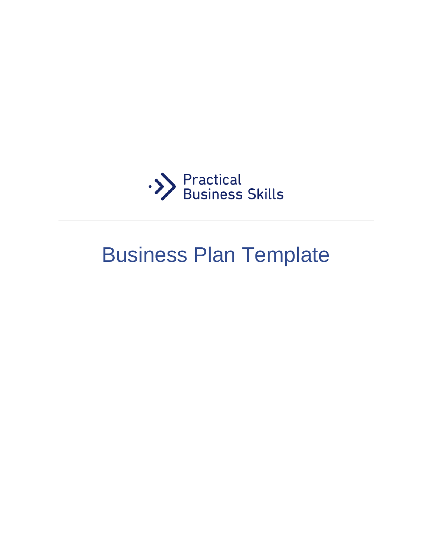

# Business Plan Template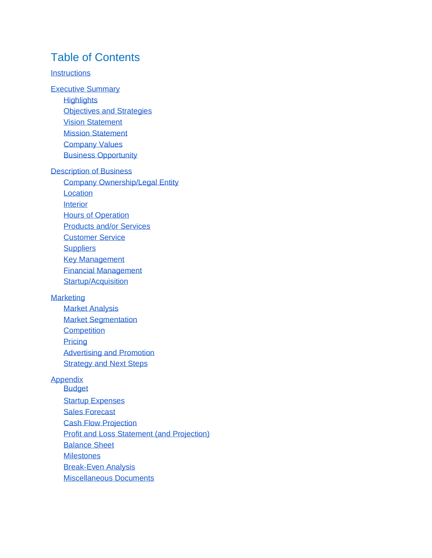#### Table of Contents

#### **[Instructions](#page-2-0)**

[Executive Summary](#page-2-1)

**[Highlights](#page-2-2)** 

[Objectives and Strategies](#page-2-3)

- [Vision Statement](#page-3-0)
- Mission Statement
- [Company Values](#page-3-1)
- [Business Opportunity](#page-3-2)

#### [Description of Business](#page-3-3)

[Company Ownership/Legal Entity](#page-4-0) **[Location](#page-4-1)** 

- **[Interior](#page-4-2)**
- [Hours of Operation](#page-5-0)
- [Products and/or Services](#page-5-1)
- [Customer Service](#page-5-2)
- **[Suppliers](#page-6-0)**
- [Key Management](#page-6-1)
- [Financial Management](#page-6-2)
- [Startup/Acquisition](#page-7-0)

#### **[Marketing](#page-7-1)**

[Market Analysis](#page-7-2) [Market Segmentation](#page-7-3) **[Competition](#page-8-0) [Pricing](#page-8-1)** [Advertising and Promotion](#page-8-2) [Strategy and](#page-9-0) Next Steps

#### [Appendix](#page-9-1)

Budget **[Startup Expenses](#page-10-0)** [Sales Forecast](#page-11-0) [Cash Flow Projection](#page-12-0) [Profit and Loss Statement \(and Projection\)](#page-12-1) [Balance Sheet](#page-12-2) **[Milestones](#page-13-0)** [Break-Even Analysis](#page-13-1) [Miscellaneous Documents](#page-13-2)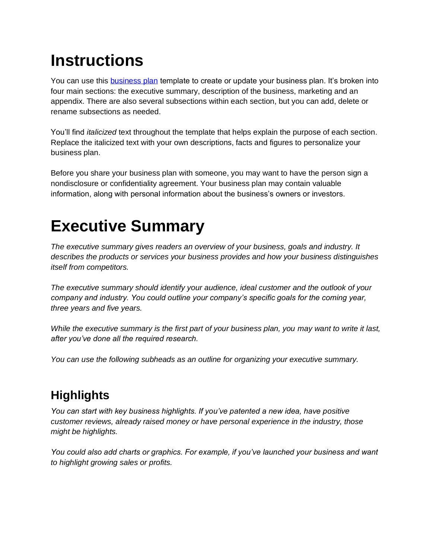## <span id="page-2-0"></span>**Instructions**

You can use this [business plan](http://practicalbusinessskills.com/assets/templates/business-plan.docx) template to create or update your business plan. It's broken into four main sections: the executive summary, description of the business, marketing and an appendix. There are also several subsections within each section, but you can add, delete or rename subsections as needed.

You'll find *italicized* text throughout the template that helps explain the purpose of each section. Replace the italicized text with your own descriptions, facts and figures to personalize your business plan.

Before you share your business plan with someone, you may want to have the person sign a nondisclosure or confidentiality agreement. Your business plan may contain valuable information, along with personal information about the business's owners or investors.

## <span id="page-2-1"></span>**Executive Summary**

*The executive summary gives readers an overview of your business, goals and industry. It describes the products or services your business provides and how your business distinguishes itself from competitors.*

*The executive summary should identify your audience, ideal customer and the outlook of your company and industry. You could outline your company's specific goals for the coming year, three years and five years.* 

*While the executive summary is the first part of your business plan, you may want to write it last, after you've done all the required research.*

*You can use the following subheads as an outline for organizing your executive summary.*

### <span id="page-2-2"></span>**Highlights**

*You can start with key business highlights. If you've patented a new idea, have positive customer reviews, already raised money or have personal experience in the industry, those might be highlights.* 

<span id="page-2-3"></span>*You could also add charts or graphics. For example, if you've launched your business and want to highlight growing sales or profits.*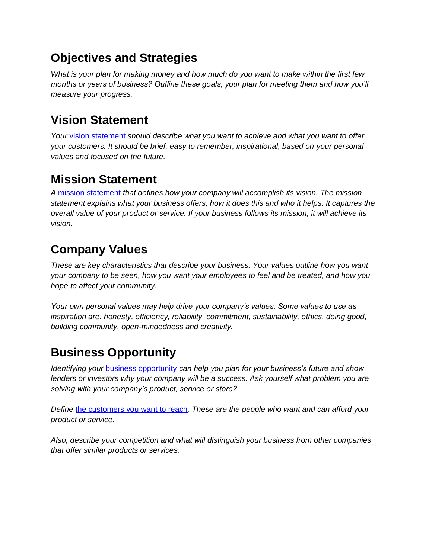#### **Objectives and Strategies**

*What is your plan for making money and how much do you want to make within the first few months or years of business? Outline these goals, your plan for meeting them and how you'll measure your progress.*

#### <span id="page-3-0"></span>**Vision Statement**

Your [vision statement](http://practicalbusinessskills.com/getting-started/creating-a-business-plan) *should describe what you want to achieve and what you want to offer your customers. It should be brief, easy to remember, inspirational, based on your personal values and focused on the future.*

#### **Mission Statement**

*A* [mission statement](http://practicalbusinessskills.com/getting-started/creating-a-business-plan) *that defines how your company will accomplish its vision. The mission statement explains what your business offers, how it does this and who it helps. It captures the overall value of your product or service. If your business follows its mission, it will achieve its vision.*

#### <span id="page-3-1"></span>**Company Values**

*These are key characteristics that describe your business. Your values outline how you want your company to be seen, how you want your employees to feel and be treated, and how you hope to affect your community.*

*Your own personal values may help drive your company's values. Some values to use as inspiration are: honesty, efficiency, reliability, commitment, sustainability, ethics, doing good, building community, open-mindedness and creativity.*

#### <span id="page-3-2"></span>**Business Opportunity**

*Identifying your* [business opportunity](http://practicalbusinessskills.com/getting-started/is-starting-a-business-right-for-you) *can help you plan for your business's future and show lenders or investors why your company will be a success. Ask yourself what problem you are solving with your company's product, service or store?*

*Define* [the customers you want to reach](http://practicalbusinessskills.com/getting-started/creating-a-business-plan)*. These are the people who want and can afford your product or service.*

<span id="page-3-3"></span>*Also, describe your competition and what will distinguish your business from other companies that offer similar products or services.*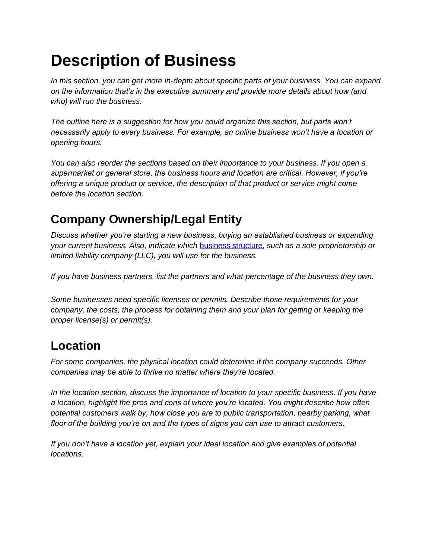## **Description of Business**

*In this section, you can get more in-depth about specific parts of your business. You can expand on the information that's in the executive summary and provide more details about how (and who) will run the business.* 

*The outline here is a suggestion for how you could organize this section, but parts won't necessarily apply to every business. For example, an online business won't have a location or opening hours.*

*You can also reorder the sections based on their importance to your business. If you open a supermarket or general store, the business hours and location are critical. However, if you're offering a unique product or service, the description of that product or service might come before the location section.*

#### <span id="page-4-0"></span>**Company Ownership/Legal Entity**

*Discuss whether you're starting a new business, buying an established business or expanding your current business. Also, indicate which* [business structure](http://practicalbusinessskills.com/getting-started/creating-a-business)*, such as a sole proprietorship or limited liability company (LLC), you will use for the business.* 

*If you have business partners, list the partners and what percentage of the business they own.* 

*Some businesses need specific licenses or permits. Describe those requirements for your company, the costs, the process for obtaining them and your plan for getting or keeping the proper license(s) or permit(s).*

#### <span id="page-4-1"></span>**Location**

*For some companies, the physical location could determine if the company succeeds. Other companies may be able to thrive no matter where they're located.*

*In the location section, discuss the importance of location to your specific business. If you have a location, highlight the pros and cons of where you're located. You might describe how often potential customers walk by, how close you are to public transportation, nearby parking, what floor of the building you're on and the types of signs you can use to attract customers.*

<span id="page-4-2"></span>*If you don't have a location yet, explain your ideal location and give examples of potential locations.*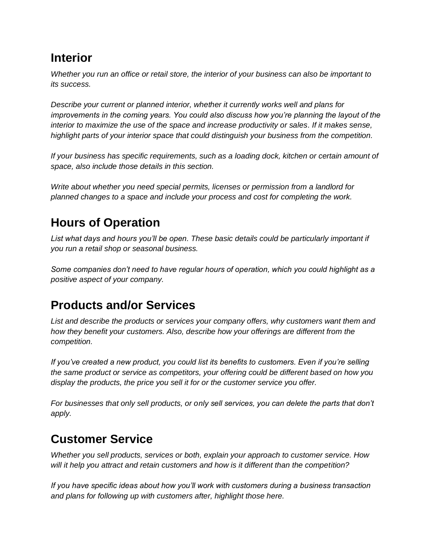#### **Interior**

*Whether you run an office or retail store, the interior of your business can also be important to its success.*

*Describe your current or planned interior, whether it currently works well and plans for improvements in the coming years. You could also discuss how you're planning the layout of the interior to maximize the use of the space and increase productivity or sales. If it makes sense, highlight parts of your interior space that could distinguish your business from the competition.*

*If your business has specific requirements, such as a loading dock, kitchen or certain amount of space, also include those details in this section.*

*Write about whether you need special permits, licenses or permission from a landlord for planned changes to a space and include your process and cost for completing the work.*

#### <span id="page-5-0"></span>**Hours of Operation**

List what days and hours you'll be open. These basic details could be particularly important if *you run a retail shop or seasonal business.*

*Some companies don't need to have regular hours of operation, which you could highlight as a positive aspect of your company.*

#### <span id="page-5-1"></span>**Products and/or Services**

*List and describe the products or services your company offers, why customers want them and how they benefit your customers. Also, describe how your offerings are different from the competition.*

*If you've created a new product, you could list its benefits to customers. Even if you're selling the same product or service as competitors, your offering could be different based on how you display the products, the price you sell it for or the customer service you offer.*

*For businesses that only sell products, or only sell services, you can delete the parts that don't apply.*

#### <span id="page-5-2"></span>**Customer Service**

*Whether you sell products, services or both, explain your approach to customer service. How will it help you attract and retain customers and how is it different than the competition?*

*If you have specific ideas about how you'll work with customers during a business transaction and plans for following up with customers after, highlight those here.*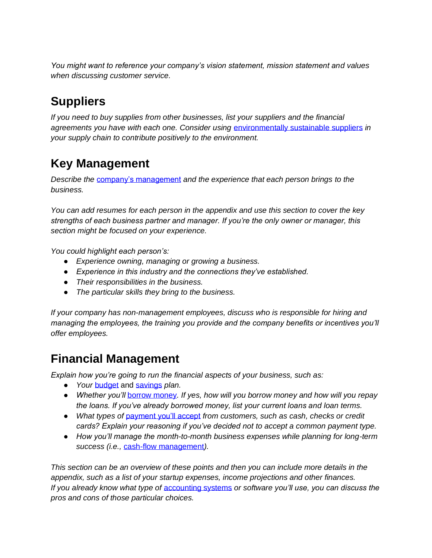*You might want to reference your company's vision statement, mission statement and values when discussing customer service.*

### <span id="page-6-0"></span>**Suppliers**

*If you need to buy supplies from other businesses, list your suppliers and the financial agreements you have with each one. Consider using* [environmentally sustainable suppliers](http://practicalbusinessskills.com/getting-started/environment-sustainability) *in your supply chain to contribute positively to the environment.* 

### <span id="page-6-1"></span>**Key Management**

*Describe the* [company's management](http://practicalbusinessskills.com/managing-a-business/leadership) *and the experience that each person brings to the business.*

*You can add resumes for each person in the appendix and use this section to cover the key strengths of each business partner and manager. If you're the only owner or manager, this section might be focused on your experience.*

*You could highlight each person's:*

- *Experience owning, managing or growing a business.*
- *Experience in this industry and the connections they've established.*
- *Their responsibilities in the business.*
- *The particular skills they bring to the business.*

*If your company has non-management employees, discuss who is responsible for hiring and managing the employees, the training you provide and the company benefits or incentives you'll offer employees.*

#### <span id="page-6-2"></span>**Financial Management**

*Explain how you're going to run the financial aspects of your business, such as:*

- *Your* [budget](http://practicalbusinessskills.com/getting-started/financial-basics/budgeting) and [savings](http://practicalbusinessskills.com/getting-started/financial-basics/saving) *plan.*
- *Whether you'll* [borrow money](http://practicalbusinessskills.com/getting-started/financial-basics/financing)*. If yes, how will you borrow money and how will you repay the loans. If you've already borrowed money, list your current loans and loan terms.*
- *What types of* [payment you'll accept](http://practicalbusinessskills.com/managing-a-business/financial-management/payment-systems) *from customers, such as cash, checks or credit cards? Explain your reasoning if you've decided not to accept a common payment type.*
- *How you'll manage the month-to-month business expenses while planning for long-term success (i.e.,* [cash-flow management](http://practicalbusinessskills.com/managing-a-business/financial-management/managing-cash-flow-and-expenses)*).*

*This section can be an overview of these points and then you can include more details in the appendix, such as a list of your startup expenses, income projections and other finances. If you already know what type of* [accounting systems](http://practicalbusinessskills.com/managing-a-business/record-keeping/budgets-accounting-and-planning) *or software you'll use, you can discuss the pros and cons of those particular choices.*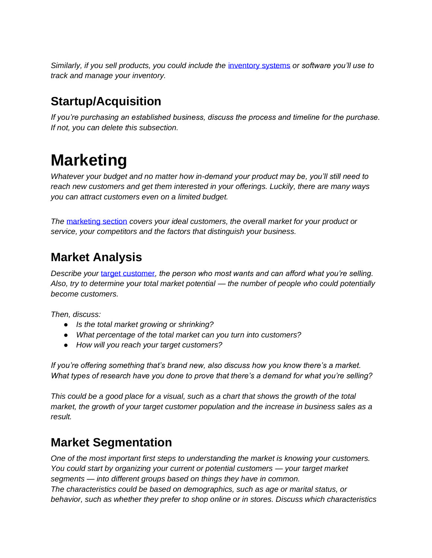*Similarly, if you sell products, you could include the* [inventory systems](http://practicalbusinessskills.com/managing-a-business/record-keeping/managing-inventory) *or software you'll use to track and manage your inventory.*

#### <span id="page-7-0"></span>**Startup/Acquisition**

*If you're purchasing an established business, discuss the process and timeline for the purchase. If not, you can delete this subsection.*

## <span id="page-7-1"></span>**Marketing**

*Whatever your budget and no matter how in-demand your product may be, you'll still need to reach new customers and get them interested in your offerings. Luckily, there are many ways you can attract customers even on a limited budget.*

*The* [marketing section](http://practicalbusinessskills.com/managing-a-business/promoting-a-business/marketing-and-advertising) *covers your ideal customers, the overall market for your product or service, your competitors and the factors that distinguish your business.* 

#### <span id="page-7-2"></span>**Market Analysis**

*Describe your* [target customer](http://practicalbusinessskills.com/getting-started/creating-a-business)*, the person who most wants and can afford what you're selling. Also, try to determine your total market potential — the number of people who could potentially become customers.* 

*Then, discuss:*

- *Is the total market growing or shrinking?*
- *What percentage of the total market can you turn into customers?*
- *How will you reach your target customers?*

*If you're offering something that's brand new, also discuss how you know there's a market. What types of research have you done to prove that there's a demand for what you're selling?*

*This could be a good place for a visual, such as a chart that shows the growth of the total market, the growth of your target customer population and the increase in business sales as a result.* 

#### <span id="page-7-3"></span>**Market Segmentation**

*One of the most important first steps to understanding the market is knowing your customers. You could start by organizing your current or potential customers — your target market segments — into different groups based on things they have in common. The characteristics could be based on demographics, such as age or marital status, or behavior, such as whether they prefer to shop online or in stores. Discuss which characteristics*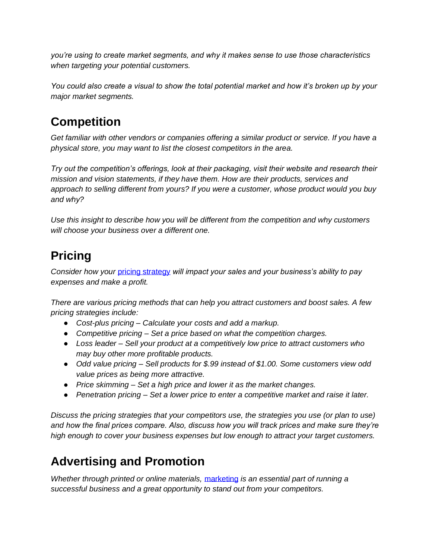*you're using to create market segments, and why it makes sense to use those characteristics when targeting your potential customers.*

*You could also create a visual to show the total potential market and how it's broken up by your major market segments.*

#### <span id="page-8-0"></span>**Competition**

*Get familiar with other vendors or companies offering a similar product or service. If you have a physical store, you may want to list the closest competitors in the area.*

*Try out the competition's offerings, look at their packaging, visit their website and research their mission and vision statements, if they have them. How are their products, services and approach to selling different from yours? If you were a customer, whose product would you buy and why?*

*Use this insight to describe how you will be different from the competition and why customers will choose your business over a different one.* 

### <span id="page-8-1"></span>**Pricing**

*Consider how your* [pricing strategy](http://practicalbusinessskills.com/building-and-growing/measuring-success/increase-sales) *will impact your sales and your business's ability to pay expenses and make a profit.*

*There are various pricing methods that can help you attract customers and boost sales. A few pricing strategies include:*

- *Cost-plus pricing – Calculate your costs and add a markup.*
- *Competitive pricing – Set a price based on what the competition charges.*
- *Loss leader – Sell your product at a competitively low price to attract customers who may buy other more profitable products.*
- *Odd value pricing – Sell products for \$.99 instead of \$1.00. Some customers view odd value prices as being more attractive.*
- *Price skimming – Set a high price and lower it as the market changes.*
- *Penetration pricing – Set a lower price to enter a competitive market and raise it later.*

*Discuss the pricing strategies that your competitors use, the strategies you use (or plan to use) and how the final prices compare. Also, discuss how you will track prices and make sure they're high enough to cover your business expenses but low enough to attract your target customers.*

#### <span id="page-8-2"></span>**Advertising and Promotion**

*Whether through printed or online materials,* [marketing](http://practicalbusinessskills.com/managing-a-business/promoting-a-business/marketing-and-advertising) *is an essential part of running a successful business and a great opportunity to stand out from your competitors.*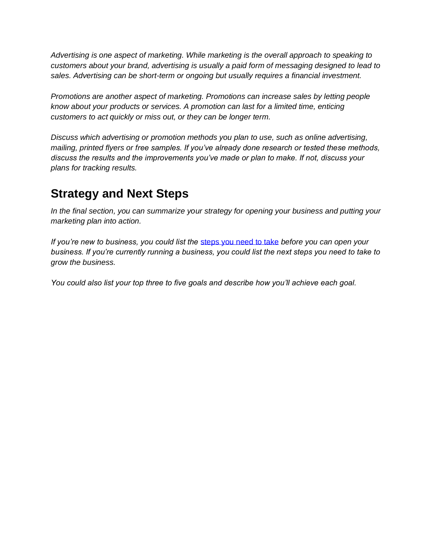*Advertising is one aspect of marketing. While marketing is the overall approach to speaking to customers about your brand, advertising is usually a paid form of messaging designed to lead to sales. Advertising can be short-term or ongoing but usually requires a financial investment.*

*Promotions are another aspect of marketing. Promotions can increase sales by letting people know about your products or services. A promotion can last for a limited time, enticing customers to act quickly or miss out, or they can be longer term.*

*Discuss which advertising or promotion methods you plan to use, such as online advertising, mailing, printed flyers or free samples. If you've already done research or tested these methods, discuss the results and the improvements you've made or plan to make. If not, discuss your plans for tracking results.*

#### <span id="page-9-0"></span>**Strategy and Next Steps**

*In the final section, you can summarize your strategy for opening your business and putting your marketing plan into action.*

*If you're new to business, you could list the* [steps you need to take](http://practicalbusinessskills.com/getting-started/is-starting-a-business-right-for-you) *before you can open your business. If you're currently running a business, you could list the next steps you need to take to grow the business.*

<span id="page-9-1"></span>*You could also list your top three to five goals and describe how you'll achieve each goal.*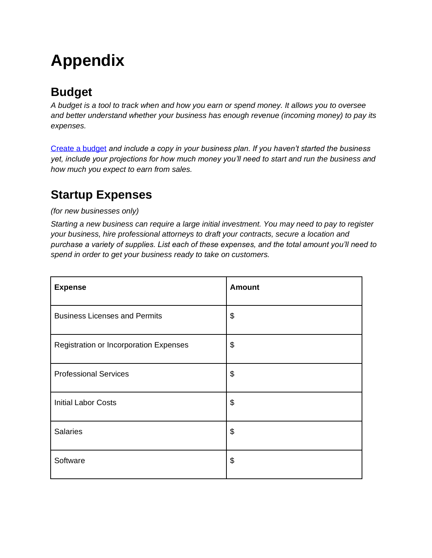## **Appendix**

#### <span id="page-10-0"></span>**Budget**

*A budget is a tool to track when and how you earn or spend money. It allows you to oversee and better understand whether your business has enough revenue (incoming money) to pay its expenses.* 

[Create a budget](http://practicalbusinessskills.com/assets/templates/budget-worksheet-template.xlsx) *and include a copy in your business plan. If you haven't started the business yet, include your projections for how much money you'll need to start and run the business and how much you expect to earn from sales.* 

#### **Startup Expenses**

#### *(for new businesses only)*

*Starting a new business can require a large initial investment. You may need to pay to register your business, hire professional attorneys to draft your contracts, secure a location and purchase a variety of supplies. List each of these expenses, and the total amount you'll need to spend in order to get your business ready to take on customers.* 

| <b>Expense</b>                         | <b>Amount</b> |
|----------------------------------------|---------------|
| <b>Business Licenses and Permits</b>   | \$            |
| Registration or Incorporation Expenses | \$            |
| <b>Professional Services</b>           | \$            |
| <b>Initial Labor Costs</b>             | \$            |
| <b>Salaries</b>                        | \$            |
| Software                               | \$            |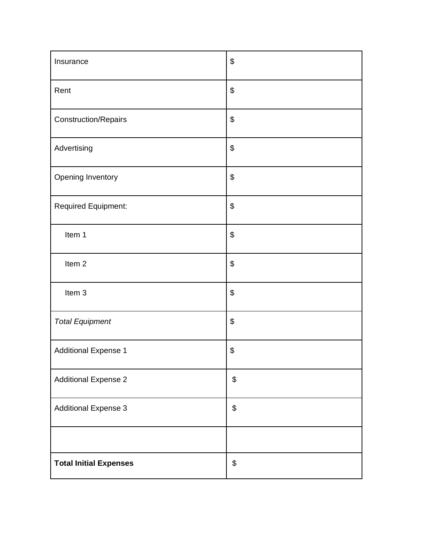<span id="page-11-0"></span>

| Insurance                     | \$                                        |
|-------------------------------|-------------------------------------------|
| Rent                          | \$                                        |
| <b>Construction/Repairs</b>   | \$                                        |
| Advertising                   | \$                                        |
| Opening Inventory             | $\boldsymbol{\theta}$                     |
| Required Equipment:           | \$                                        |
| Item 1                        | \$                                        |
| Item <sub>2</sub>             | \$                                        |
| Item 3                        | \$                                        |
| <b>Total Equipment</b>        | \$                                        |
| <b>Additional Expense 1</b>   | \$                                        |
| <b>Additional Expense 2</b>   | \$                                        |
| <b>Additional Expense 3</b>   | $$\mathfrak{s}$$                          |
|                               |                                           |
| <b>Total Initial Expenses</b> | $\, \, \raisebox{12pt}{$\scriptstyle \$}$ |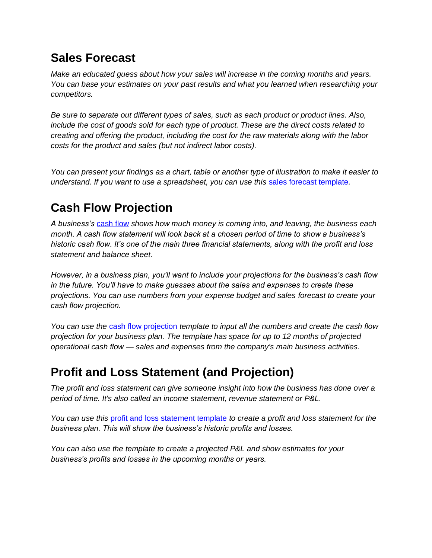#### **Sales Forecast**

*Make an educated guess about how your sales will increase in the coming months and years. You can base your estimates on your past results and what you learned when researching your competitors.* 

*Be sure to separate out different types of sales, such as each product or product lines. Also, include the cost of goods sold for each type of product. These are the direct costs related to creating and offering the product, including the cost for the raw materials along with the labor costs for the product and sales (but not indirect labor costs).* 

*You can present your findings as a chart, table or another type of illustration to make it easier to understand. If you want to use a spreadsheet, you can use this* [sales forecast template](http://practicalbusinessskills.com/assets/templates/sales-forecast-template.xlsx)*.*

### <span id="page-12-0"></span>**Cash Flow Projection**

*A business's* [cash flow](http://practicalbusinessskills.com/managing-a-business/financial-statements/cash-flow-statement) *shows how much money is coming into, and leaving, the business each month. A cash flow statement will look back at a chosen period of time to show a business's historic cash flow. It's one of the main three financial statements, along with the profit and loss statement and balance sheet.*

*However, in a business plan, you'll want to include your projections for the business's cash flow in the future. You'll have to make guesses about the sales and expenses to create these projections. You can use numbers from your expense budget and sales forecast to create your cash flow projection.* 

*You can use the* [cash flow projection](http://practicalbusinessskills.com/assets/templates/cash-flow-analysis-template.xlsx) *template to input all the numbers and create the cash flow projection for your business plan. The template has space for up to 12 months of projected operational cash flow — sales and expenses from the company's main business activities.*

#### <span id="page-12-1"></span>**Profit and Loss Statement (and Projection)**

*The profit and loss statement can give someone insight into how the business has done over a period of time. It's also called an income statement, revenue statement or P&L.* 

*You can use this* [profit and loss statement template](http://practicalbusinessskills.com/assets/templates/profit-and-loss-statement-template.xlsx) *to create a profit and loss statement for the business plan. This will show the business's historic profits and losses.* 

<span id="page-12-2"></span>*You can also use the template to create a projected P&L and show estimates for your business's profits and losses in the upcoming months or years.*